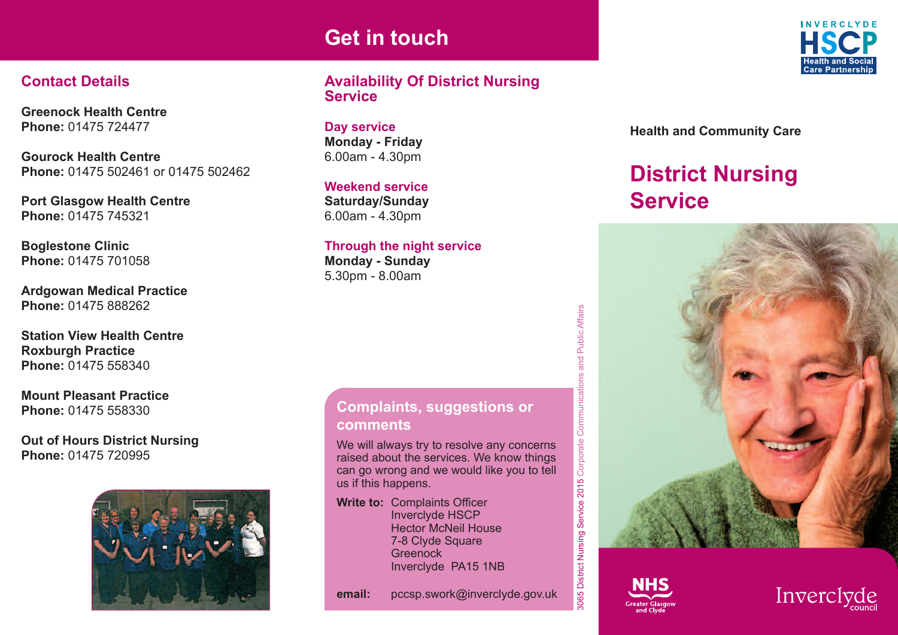## **Get in touch**

### **Contact Details**

**Greenock Health Centre Phone:** 01475 724477

**Gourock Health Centre Phone:** 01475 502461 or 01475 502462

**Port Glasgow Health Centre Phone:** 01475 745321

**Boglestone Clinic Phone:** 01475 701058

**Ardgowan Medical Practice Phone:** 01475 888262

**Station View Health Centre Roxburgh Practice Phone:** 01475 558340

**Mount Pleasant Practice Phone:** 01475 558330

**Out of Hours District Nursing Phone:** 01475 720995



#### **Availability Of District Nursing Service**

**Day service Monday - Friday** 6.00am - 4.30pm

**Weekend service Saturday/Sunday** 6.00am - 4.30pm

#### **Through the night service**

**Monday - Sunday** 5.30pm - 8.00am

#### **Complaints, suggestions or comments**

We will always try to resolve any concerns raised about the services. We know things can go wrong and we would like you to tell us if this happens.

**Write to:** Complaints Officer Inverclyde HSCP Hector McNeil House 7-8 Clyde Square **Greenock** Inverclyde PA15 1NB

**email:** pccsp.swork@inverclyde.gov.uk



**Health and Community Care**

# **District Nursing Service**





munications and Public Affairs